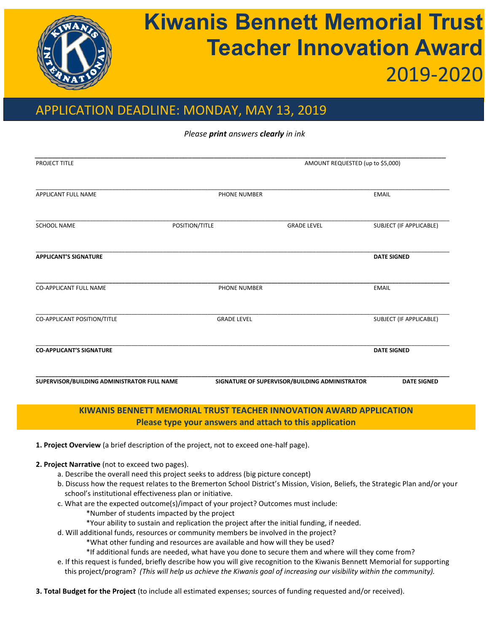

# **Kiwanis Bennett Memorial Trust Teacher Innovation Award** 2019-2020

## APPLICATION DEADLINE: MONDAY, MAY 13, 2019

*Please print answers clearly in ink*

| PROJECT TITLE                               |                     | AMOUNT REQUESTED (up to \$5,000)               |                         |  |
|---------------------------------------------|---------------------|------------------------------------------------|-------------------------|--|
|                                             |                     |                                                |                         |  |
| APPLICANT FULL NAME                         | PHONE NUMBER        |                                                | <b>EMAIL</b>            |  |
| <b>SCHOOL NAME</b>                          | POSITION/TITLE      | <b>GRADE LEVEL</b>                             | SUBJECT (IF APPLICABLE) |  |
| <b>APPLICANT'S SIGNATURE</b>                |                     |                                                | <b>DATE SIGNED</b>      |  |
| <b>CO-APPLICANT FULL NAME</b>               | <b>PHONE NUMBER</b> |                                                | <b>EMAIL</b>            |  |
| CO-APPLICANT POSITION/TITLE                 | <b>GRADE LEVEL</b>  |                                                | SUBJECT (IF APPLICABLE) |  |
| <b>CO-APPLICANT'S SIGNATURE</b>             |                     |                                                | <b>DATE SIGNED</b>      |  |
| SUPERVISOR/BUILDING ADMINISTRATOR FULL NAME |                     | SIGNATURE OF SUPERVISOR/BUILDING ADMINISTRATOR | <b>DATE SIGNED</b>      |  |

### **KIWANIS BENNETT MEMORIAL TRUST TEACHER INNOVATION AWARD APPLICATION Please type your answers and attach to this application**

**1. Project Overview** (a brief description of the project, not to exceed one-half page).

- **2. Project Narrative** (not to exceed two pages).
	- a. Describe the overall need this project seeks to address (big picture concept)
	- b. Discuss how the request relates to the Bremerton School District's Mission, Vision, Beliefs, the Strategic Plan and/or your school's institutional effectiveness plan or initiative.
	- c. What are the expected outcome(s)/impact of your project? Outcomes must include:
		- \*Number of students impacted by the project
		- \*Your ability to sustain and replication the project after the initial funding, if needed.
	- d. Will additional funds, resources or community members be involved in the project?
		- \*What other funding and resources are available and how will they be used?
		- \*If additional funds are needed, what have you done to secure them and where will they come from?
	- e. If this request is funded, briefly describe how you will give recognition to the Kiwanis Bennett Memorial for supporting this project/program? *(This will help us achieve the Kiwanis goal of increasing our visibility within the community).*

**3. Total Budget for the Project** (to include all estimated expenses; sources of funding requested and/or received).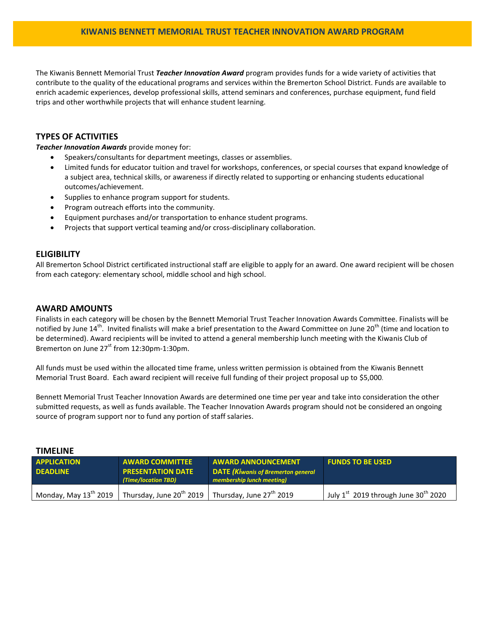The Kiwanis Bennett Memorial Trust *Teacher Innovation Award* program provides funds for a wide variety of activities that contribute to the quality of the educational programs and services within the Bremerton School District. Funds are available to enrich academic experiences, develop professional skills, attend seminars and conferences, purchase equipment, fund field trips and other worthwhile projects that will enhance student learning.

#### **TYPES OF ACTIVITIES**

*Teacher Innovation Awards* provide money for:

- Speakers/consultants for department meetings, classes or assemblies.
- Limited funds for educator tuition and travel for workshops, conferences, or special courses that expand knowledge of a subject area, technical skills, or awareness if directly related to supporting or enhancing students educational outcomes/achievement.
- Supplies to enhance program support for students.
- Program outreach efforts into the community.
- Equipment purchases and/or transportation to enhance student programs.
- Projects that support vertical teaming and/or cross-disciplinary collaboration.

#### **ELIGIBILITY**

All Bremerton School District certificated instructional staff are eligible to apply for an award. One award recipient will be chosen from each category: elementary school, middle school and high school.

#### **AWARD AMOUNTS**

Finalists in each category will be chosen by the Bennett Memorial Trust Teacher Innovation Awards Committee. Finalists will be notified by June 14<sup>th</sup>. Invited finalists will make a brief presentation to the Award Committee on June 20<sup>th</sup> (time and location to be determined). Award recipients will be invited to attend a general membership lunch meeting with the Kiwanis Club of Bremerton on June  $27<sup>st</sup>$  from 12:30pm-1:30pm.

All funds must be used within the allocated time frame, unless written permission is obtained from the Kiwanis Bennett Memorial Trust Board. Each award recipient will receive full funding of their project proposal up to \$5,000.

Bennett Memorial Trust Teacher Innovation Awards are determined one time per year and take into consideration the other submitted requests, as well as funds available. The Teacher Innovation Awards program should not be considered an ongoing source of program support nor to fund any portion of staff salaries.

| <b>APPLICATION</b>         | <b>AWARD COMMITTEE</b>                                                    | <b>AWARD ANNOUNCEMENT</b>                                              | <b>FUNDS TO BE USED</b>                          |  |
|----------------------------|---------------------------------------------------------------------------|------------------------------------------------------------------------|--------------------------------------------------|--|
| <b>DEADLINE</b>            | <b>PRESENTATION DATE</b><br>(Time/location TBD)                           | <b>DATE (Kiwanis of Bremerton general</b><br>membership lunch meeting) |                                                  |  |
| Monday, May $13^{th}$ 2019 | Thursday, June 20 <sup>th</sup> 2019 Thursday, June 27 <sup>th</sup> 2019 |                                                                        | July 1st 2019 through June 30 <sup>th</sup> 2020 |  |

#### **TIMELINE**